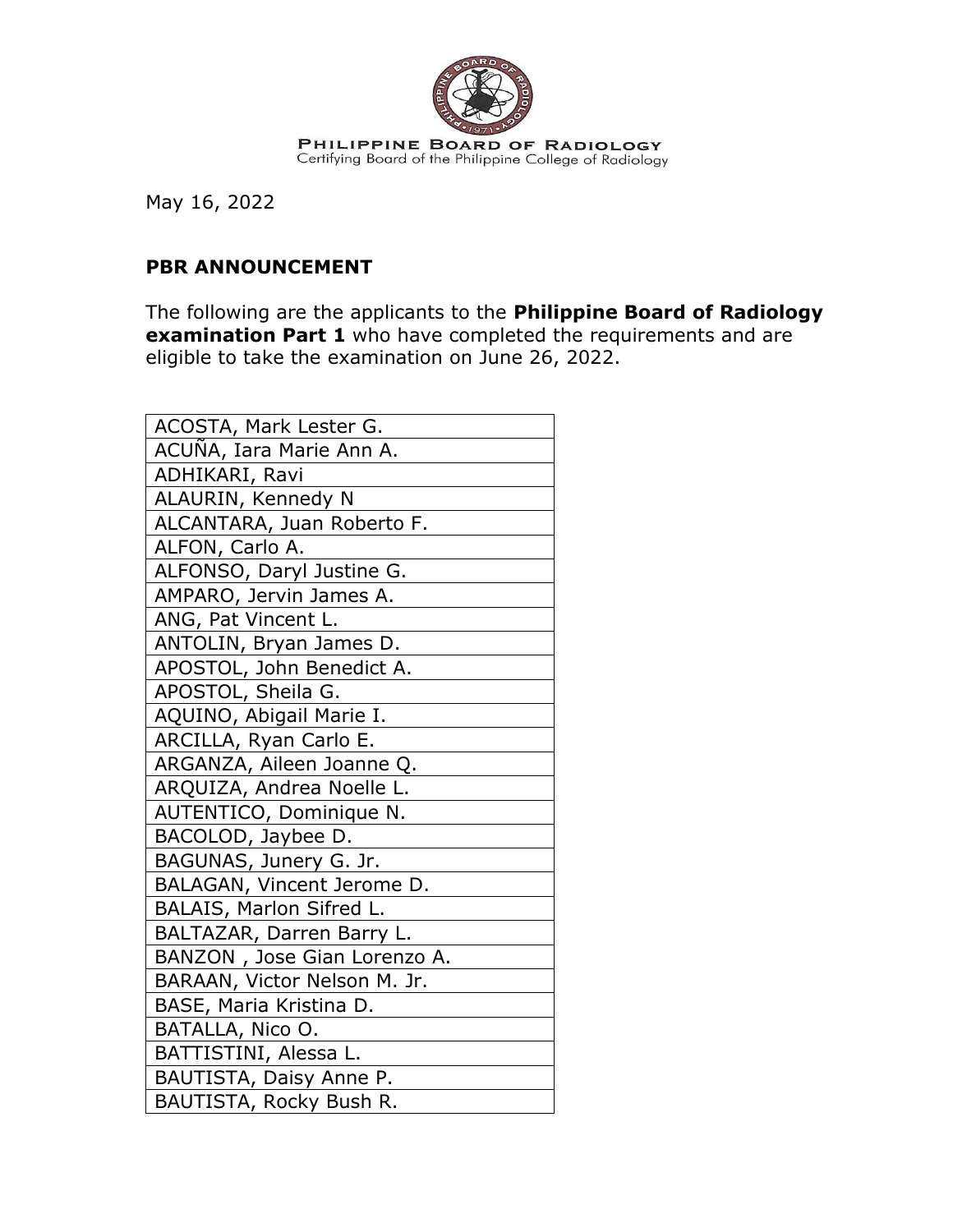

May 16, 2022

## **PBR ANNOUNCEMENT**

The following are the applicants to the **Philippine Board of Radiology examination Part 1** who have completed the requirements and are eligible to take the examination on June 26, 2022.

| ACOSTA, Mark Lester G.       |
|------------------------------|
| ACUÑA, Iara Marie Ann A.     |
| ADHIKARI, Ravi               |
| ALAURIN, Kennedy N           |
| ALCANTARA, Juan Roberto F.   |
| ALFON, Carlo A.              |
| ALFONSO, Daryl Justine G.    |
| AMPARO, Jervin James A.      |
| ANG, Pat Vincent L.          |
| ANTOLIN, Bryan James D.      |
| APOSTOL, John Benedict A.    |
| APOSTOL, Sheila G.           |
| AQUINO, Abigail Marie I.     |
| ARCILLA, Ryan Carlo E.       |
| ARGANZA, Aileen Joanne Q.    |
| ARQUIZA, Andrea Noelle L.    |
| AUTENTICO, Dominique N.      |
| BACOLOD, Jaybee D.           |
| BAGUNAS, Junery G. Jr.       |
| BALAGAN, Vincent Jerome D.   |
| BALAIS, Marlon Sifred L.     |
| BALTAZAR, Darren Barry L.    |
| BANZON, Jose Gian Lorenzo A. |
| BARAAN, Victor Nelson M. Jr. |
| BASE, Maria Kristina D.      |
| BATALLA, Nico O.             |
| BATTISTINI, Alessa L.        |
| BAUTISTA, Daisy Anne P.      |
| BAUTISTA, Rocky Bush R.      |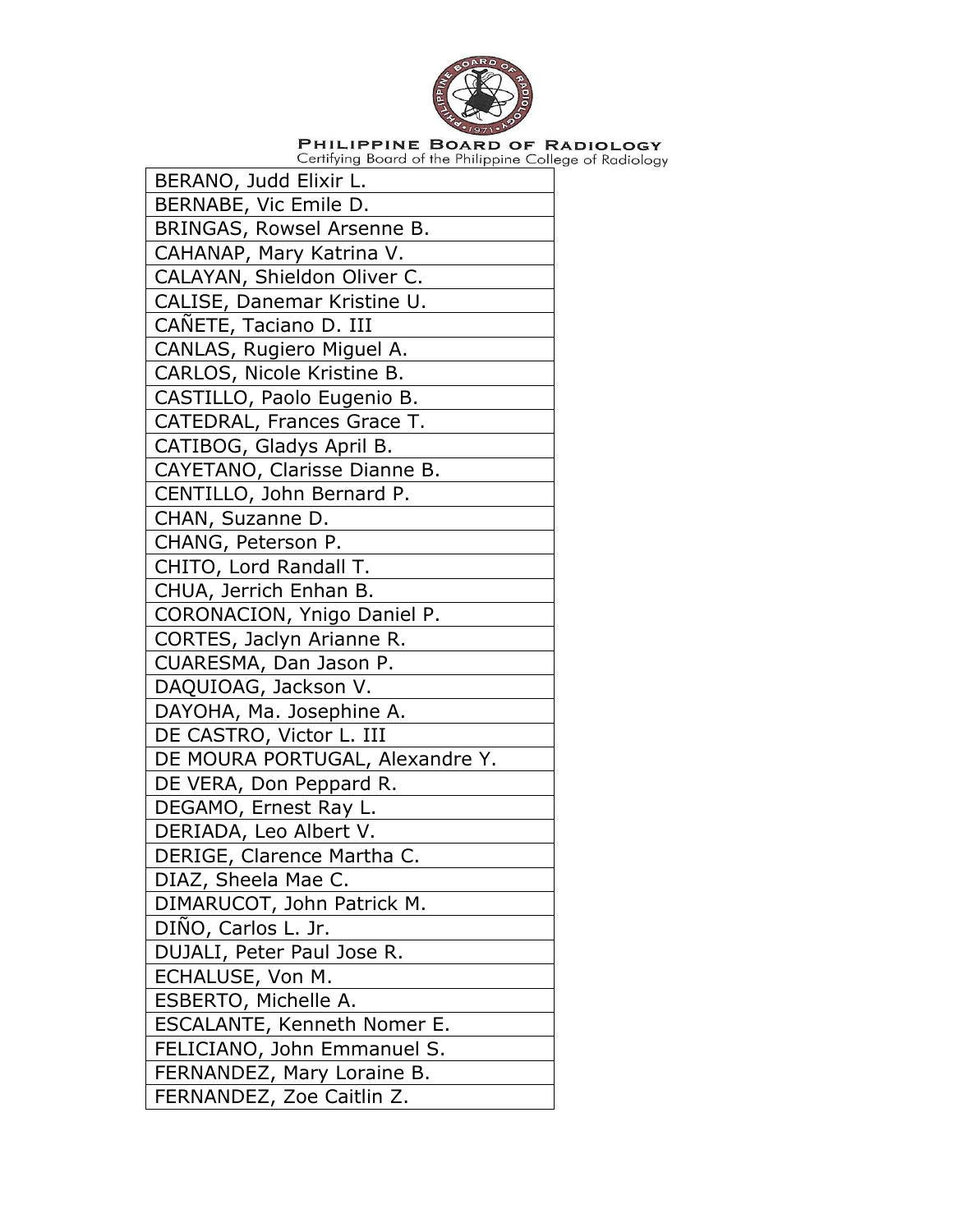

| BERANO, Judd Elixir L.          |
|---------------------------------|
| BERNABE, Vic Emile D.           |
| BRINGAS, Rowsel Arsenne B.      |
| CAHANAP, Mary Katrina V.        |
| CALAYAN, Shieldon Oliver C.     |
| CALISE, Danemar Kristine U.     |
| CAÑETE, Taciano D. III          |
| CANLAS, Rugiero Miguel A.       |
| CARLOS, Nicole Kristine B.      |
| CASTILLO, Paolo Eugenio B.      |
| CATEDRAL, Frances Grace T.      |
| CATIBOG, Gladys April B.        |
| CAYETANO, Clarisse Dianne B.    |
| CENTILLO, John Bernard P.       |
| CHAN, Suzanne D.                |
| CHANG, Peterson P.              |
| CHITO, Lord Randall T.          |
| CHUA, Jerrich Enhan B.          |
| CORONACION, Ynigo Daniel P.     |
| CORTES, Jaclyn Arianne R.       |
| CUARESMA, Dan Jason P.          |
| DAQUIOAG, Jackson V.            |
| DAYOHA, Ma. Josephine A.        |
| DE CASTRO, Victor L. III        |
| DE MOURA PORTUGAL, Alexandre Y. |
| DE VERA, Don Peppard R.         |
| DEGAMO, Ernest Ray L.           |
| DERIADA, Leo Albert V.          |
| DERIGE, Clarence Martha C.      |
| DIAZ, Sheela Mae C.             |
| DIMARUCOT, John Patrick M.      |
| DIÑO, Carlos L. Jr.             |
| DUJALI, Peter Paul Jose R.      |
| ECHALUSE, Von M.                |
| ESBERTO, Michelle A.            |
| ESCALANTE, Kenneth Nomer E.     |
| FELICIANO, John Emmanuel S.     |
| FERNANDEZ, Mary Loraine B.      |
| FERNANDEZ, Zoe Caitlin Z.       |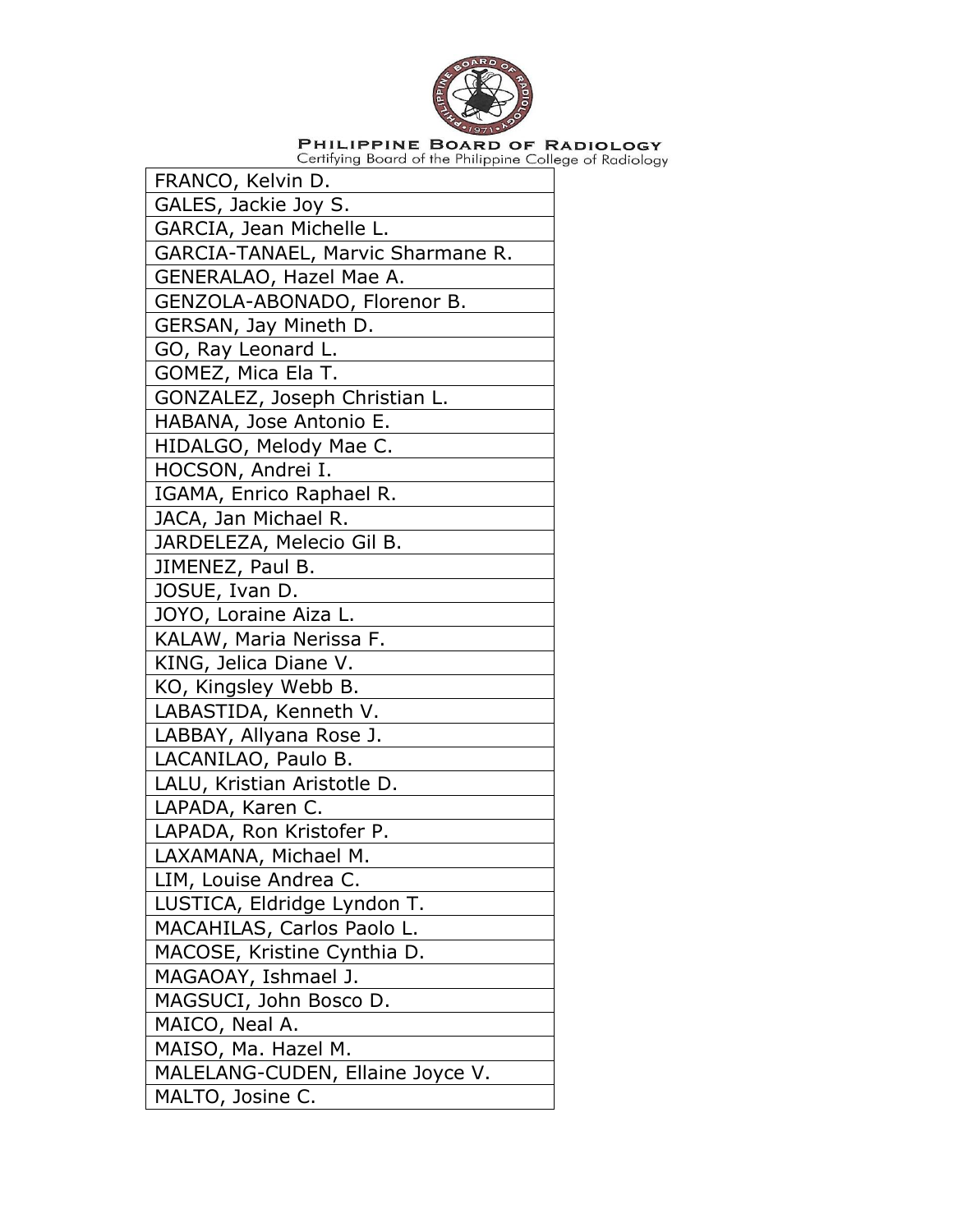

| FRANCO, Kelvin D.                 |
|-----------------------------------|
| GALES, Jackie Joy S.              |
| GARCIA, Jean Michelle L.          |
| GARCIA-TANAEL, Marvic Sharmane R. |
| GENERALAO, Hazel Mae A.           |
| GENZOLA-ABONADO, Florenor B.      |
| GERSAN, Jay Mineth D.             |
| GO, Ray Leonard L.                |
| GOMEZ, Mica Ela T.                |
| GONZALEZ, Joseph Christian L.     |
| HABANA, Jose Antonio E.           |
| HIDALGO, Melody Mae C.            |
| HOCSON, Andrei I.                 |
| IGAMA, Enrico Raphael R.          |
| JACA, Jan Michael R.              |
| JARDELEZA, Melecio Gil B.         |
| JIMENEZ, Paul B.                  |
| JOSUE, Ivan D.                    |
| JOYO, Loraine Aiza L.             |
| KALAW, Maria Nerissa F.           |
| KING, Jelica Diane V.             |
| KO, Kingsley Webb B.              |
| LABASTIDA, Kenneth V.             |
| LABBAY, Allyana Rose J.           |
| LACANILAO, Paulo B.               |
| LALU, Kristian Aristotle D.       |
| LAPADA, Karen C.                  |
| LAPADA, Ron Kristofer P.          |
| LAXAMANA, Michael M.              |
| LIM, Louise Andrea C.             |
| LUSTICA, Eldridge Lyndon T.       |
| MACAHILAS, Carlos Paolo L.        |
| MACOSE, Kristine Cynthia D.       |
| MAGAOAY, Ishmael J.               |
| MAGSUCI, John Bosco D.            |
| MAICO, Neal A.                    |
| MAISO, Ma. Hazel M.               |
| MALELANG-CUDEN, Ellaine Joyce V.  |
| MALTO, Josine C.                  |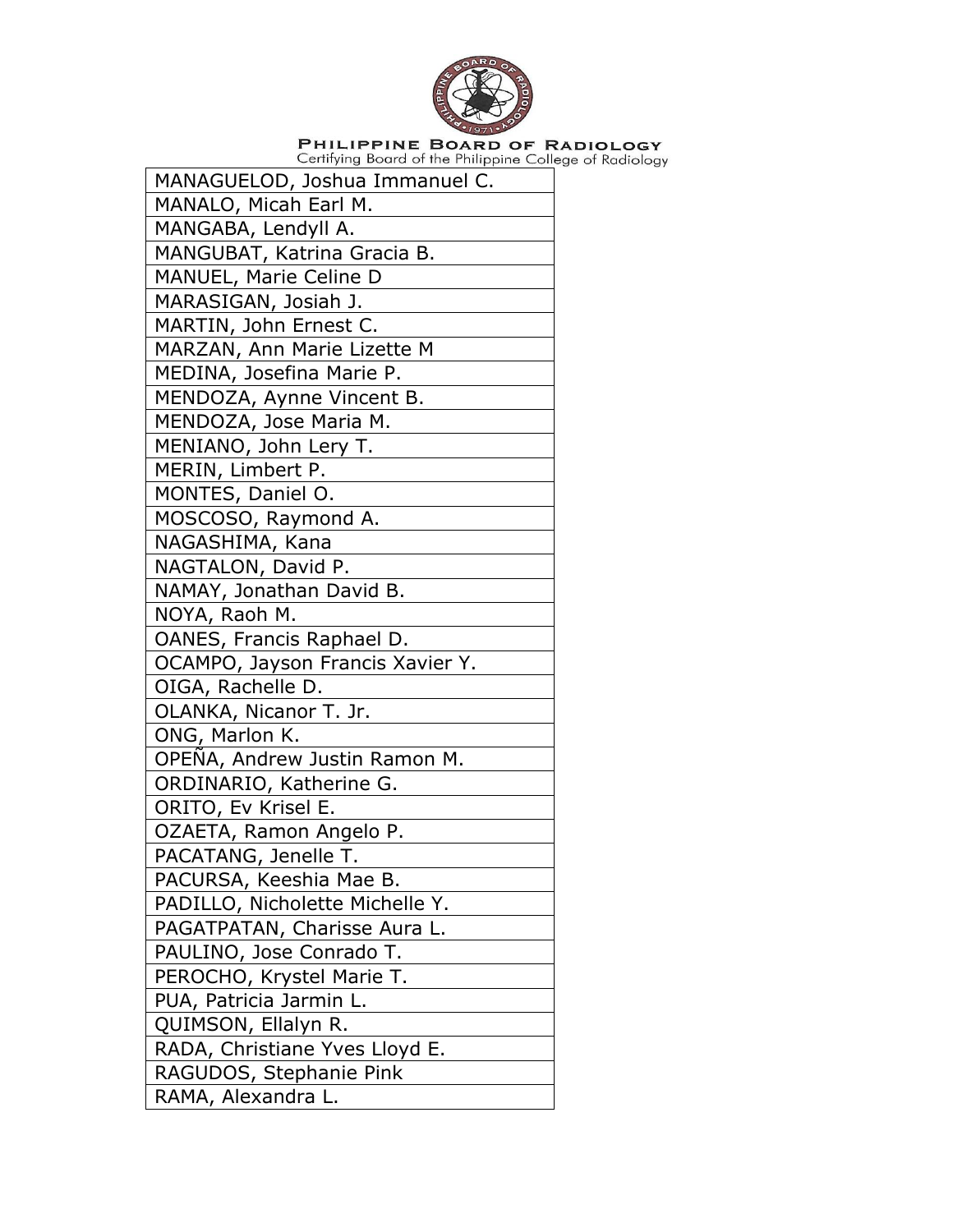

| MANAGUELOD, Joshua Immanuel C.   |
|----------------------------------|
| MANALO, Micah Earl M.            |
| MANGABA, Lendyll A.              |
| MANGUBAT, Katrina Gracia B.      |
| MANUEL, Marie Celine D           |
| MARASIGAN, Josiah J.             |
| MARTIN, John Ernest C.           |
| MARZAN, Ann Marie Lizette M      |
| MEDINA, Josefina Marie P.        |
| MENDOZA, Aynne Vincent B.        |
| MENDOZA, Jose Maria M.           |
| MENIANO, John Lery T.            |
| MERIN, Limbert P.                |
| MONTES, Daniel O.                |
| MOSCOSO, Raymond A.              |
| NAGASHIMA, Kana                  |
| NAGTALON, David P.               |
| NAMAY, Jonathan David B.         |
| NOYA, Raoh M.                    |
| OANES, Francis Raphael D.        |
| OCAMPO, Jayson Francis Xavier Y. |
| OIGA, Rachelle D.                |
| OLANKA, Nicanor T. Jr.           |
| ONG, Marlon K.                   |
| OPEÑA, Andrew Justin Ramon M.    |
| ORDINARIO, Katherine G.          |
| ORITO, Ev Krisel E.              |
| OZAETA, Ramon Angelo P.          |
| PACATANG, Jenelle T.             |
| PACURSA, Keeshia Mae B.          |
| PADILLO, Nicholette Michelle Y.  |
| PAGATPATAN, Charisse Aura L.     |
| PAULINO, Jose Conrado T.         |
| PEROCHO, Krystel Marie T.        |
| PUA, Patricia Jarmin L.          |
| QUIMSON, Ellalyn R.              |
| RADA, Christiane Yves Lloyd E.   |
| RAGUDOS, Stephanie Pink          |
| RAMA, Alexandra L.               |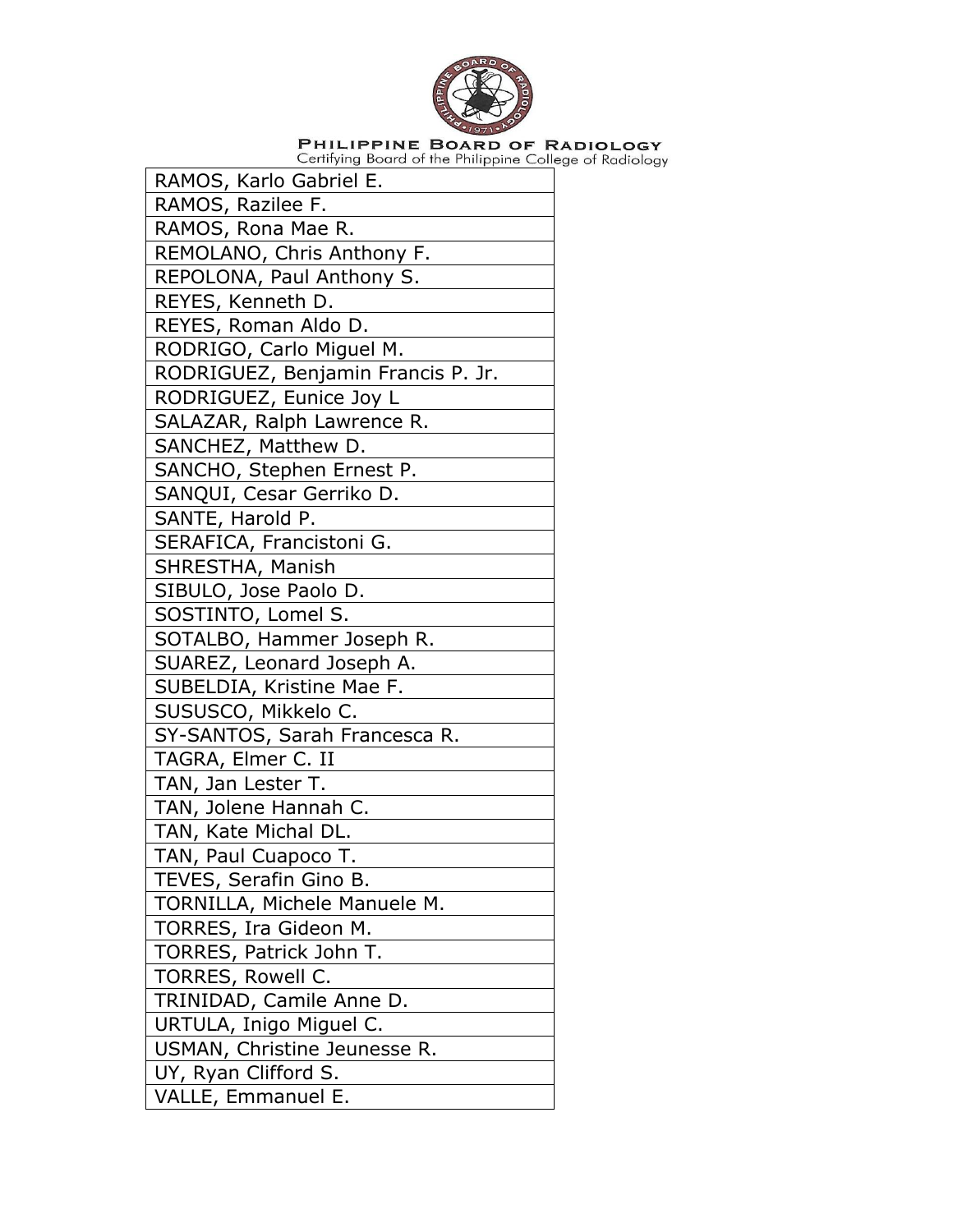

| RAMOS, Karlo Gabriel E.            |
|------------------------------------|
| RAMOS, Razilee F.                  |
| RAMOS, Rona Mae R.                 |
| REMOLANO, Chris Anthony F.         |
| REPOLONA, Paul Anthony S.          |
| REYES, Kenneth D.                  |
| REYES, Roman Aldo D.               |
| RODRIGO, Carlo Miguel M.           |
| RODRIGUEZ, Benjamin Francis P. Jr. |
| RODRIGUEZ, Eunice Joy L            |
| SALAZAR, Ralph Lawrence R.         |
| SANCHEZ, Matthew D.                |
| SANCHO, Stephen Ernest P.          |
| SANQUI, Cesar Gerriko D.           |
| SANTE, Harold P.                   |
| SERAFICA, Francistoni G.           |
| SHRESTHA, Manish                   |
| SIBULO, Jose Paolo D.              |
| SOSTINTO, Lomel S.                 |
| SOTALBO, Hammer Joseph R.          |
| SUAREZ, Leonard Joseph A.          |
| SUBELDIA, Kristine Mae F.          |
| SUSUSCO, Mikkelo C.                |
| SY-SANTOS, Sarah Francesca R.      |
| TAGRA, Elmer C. II                 |
| TAN, Jan Lester T.                 |
| TAN, Jolene Hannah C.              |
| TAN, Kate Michal DL.               |
| TAN, Paul Cuapoco T.               |
| TEVES, Serafin Gino B.             |
| TORNILLA, Michele Manuele M.       |
| TORRES, Ira Gideon M.              |
| TORRES, Patrick John T.            |
| TORRES, Rowell C.                  |
| TRINIDAD, Camile Anne D.           |
| URTULA, Inigo Miguel C.            |
| USMAN, Christine Jeunesse R.       |
| UY, Ryan Clifford S.               |
| VALLE, Emmanuel E.                 |